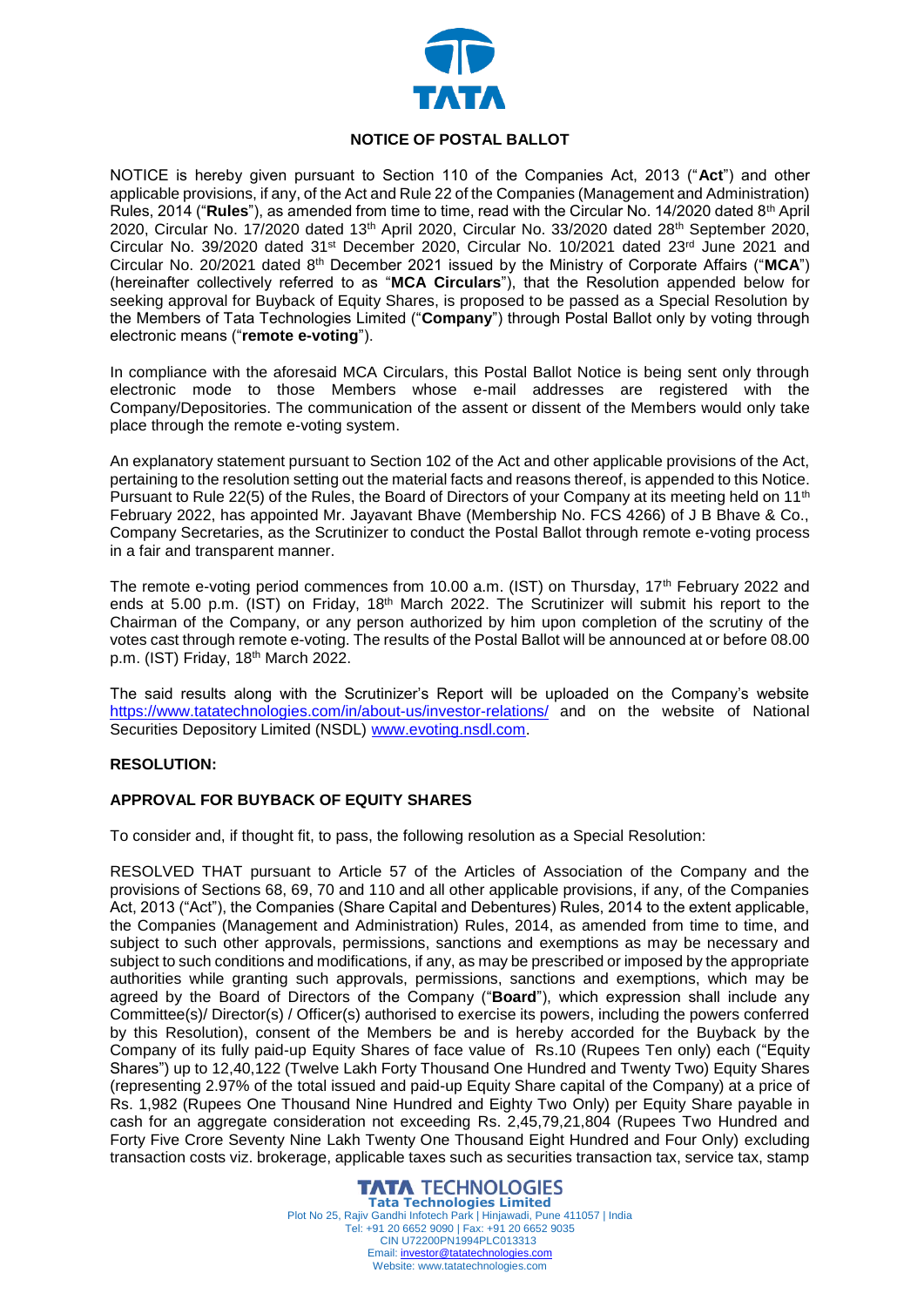

### **NOTICE OF POSTAL BALLOT**

NOTICE is hereby given pursuant to Section 110 of the Companies Act, 2013 ("**Act**") and other applicable provisions, if any, of the Act and Rule 22 of the Companies (Management and Administration) Rules, 2014 ("**Rules**"), as amended from time to time, read with the Circular No. 14/2020 dated 8th April 2020, Circular No. 17/2020 dated 13th April 2020, Circular No. 33/2020 dated 28th September 2020, Circular No. 39/2020 dated 31st December 2020, Circular No. 10/2021 dated 23rd June 2021 and Circular No. 20/2021 dated 8th December 2021 issued by the Ministry of Corporate Affairs ("**MCA**") (hereinafter collectively referred to as "**MCA Circulars**"), that the Resolution appended below for seeking approval for Buyback of Equity Shares, is proposed to be passed as a Special Resolution by the Members of Tata Technologies Limited ("**Company**") through Postal Ballot only by voting through electronic means ("**remote e-voting**").

In compliance with the aforesaid MCA Circulars, this Postal Ballot Notice is being sent only through electronic mode to those Members whose e-mail addresses are registered with the Company/Depositories. The communication of the assent or dissent of the Members would only take place through the remote e-voting system.

An explanatory statement pursuant to Section 102 of the Act and other applicable provisions of the Act, pertaining to the resolution setting out the material facts and reasons thereof, is appended to this Notice. Pursuant to Rule 22(5) of the Rules, the Board of Directors of your Company at its meeting held on 11<sup>th</sup> February 2022, has appointed Mr. Jayavant Bhave (Membership No. FCS 4266) of J B Bhave & Co., Company Secretaries, as the Scrutinizer to conduct the Postal Ballot through remote e-voting process in a fair and transparent manner.

The remote e-voting period commences from 10.00 a.m. (IST) on Thursday, 17<sup>th</sup> February 2022 and ends at 5.00 p.m. (IST) on Friday, 18<sup>th</sup> March 2022. The Scrutinizer will submit his report to the Chairman of the Company, or any person authorized by him upon completion of the scrutiny of the votes cast through remote e-voting. The results of the Postal Ballot will be announced at or before 08.00 p.m. (IST) Friday, 18<sup>th</sup> March 2022.

The said results along with the Scrutinizer's Report will be uploaded on the Company's website <https://www.tatatechnologies.com/in/about-us/investor-relations/> and on the website of National Securities Depository Limited (NSDL) [www.evoting.nsdl.com.](http://www.evoting.nsdl.com/)

### **RESOLUTION:**

### **APPROVAL FOR BUYBACK OF EQUITY SHARES**

To consider and, if thought fit, to pass, the following resolution as a Special Resolution:

RESOLVED THAT pursuant to Article 57 of the Articles of Association of the Company and the provisions of Sections 68, 69, 70 and 110 and all other applicable provisions, if any, of the Companies Act, 2013 ("Act"), the Companies (Share Capital and Debentures) Rules, 2014 to the extent applicable, the Companies (Management and Administration) Rules, 2014, as amended from time to time, and subject to such other approvals, permissions, sanctions and exemptions as may be necessary and subject to such conditions and modifications, if any, as may be prescribed or imposed by the appropriate authorities while granting such approvals, permissions, sanctions and exemptions, which may be agreed by the Board of Directors of the Company ("**Board**"), which expression shall include any Committee(s)/ Director(s) / Officer(s) authorised to exercise its powers, including the powers conferred by this Resolution), consent of the Members be and is hereby accorded for the Buyback by the Company of its fully paid-up Equity Shares of face value of Rs.10 (Rupees Ten only) each ("Equity Shares") up to 12,40,122 (Twelve Lakh Forty Thousand One Hundred and Twenty Two) Equity Shares (representing 2.97% of the total issued and paid-up Equity Share capital of the Company) at a price of Rs. 1,982 (Rupees One Thousand Nine Hundred and Eighty Two Only) per Equity Share payable in cash for an aggregate consideration not exceeding Rs. 2,45,79,21,804 (Rupees Two Hundred and Forty Five Crore Seventy Nine Lakh Twenty One Thousand Eight Hundred and Four Only) excluding transaction costs viz. brokerage, applicable taxes such as securities transaction tax, service tax, stamp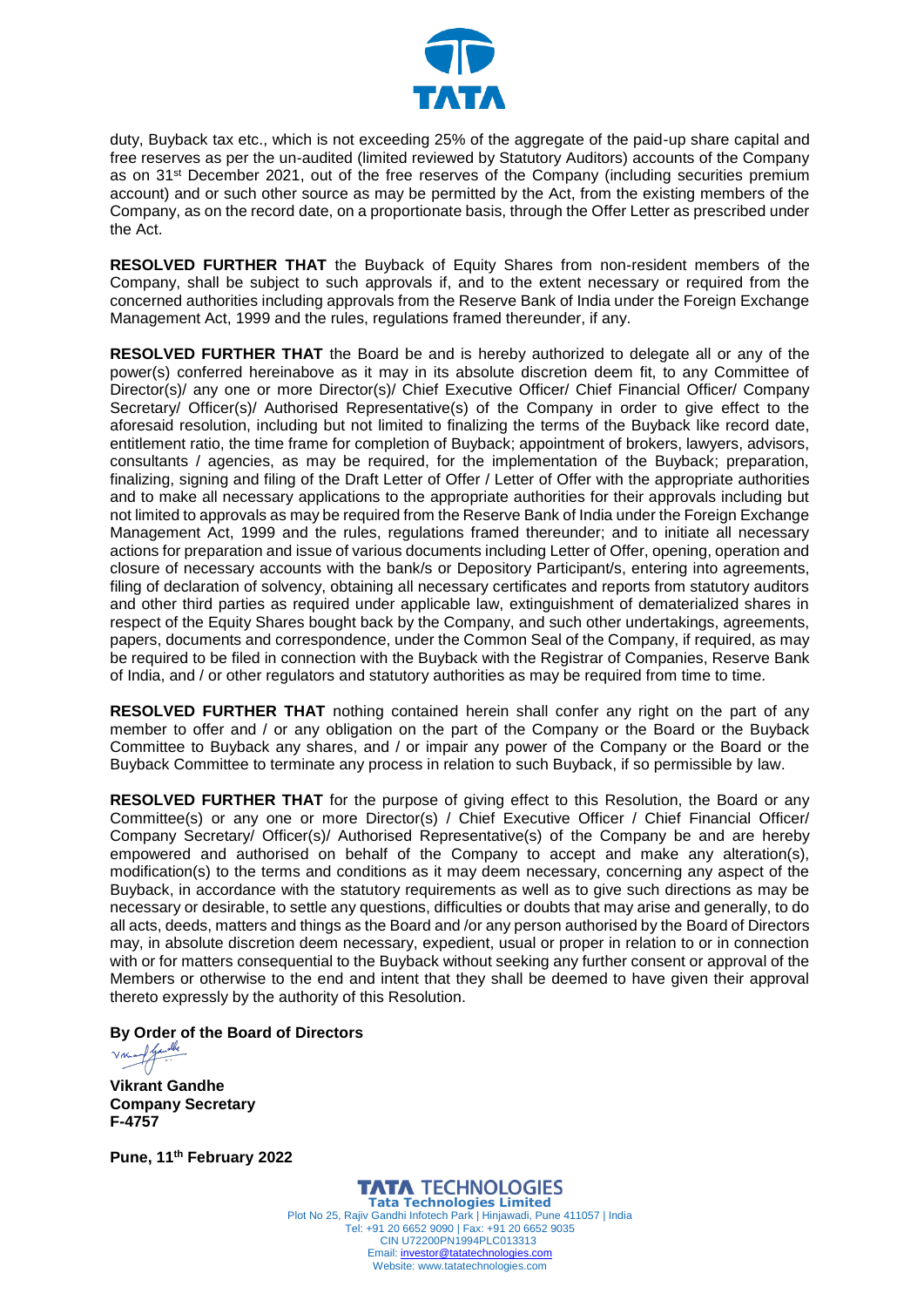

duty, Buyback tax etc., which is not exceeding 25% of the aggregate of the paid-up share capital and free reserves as per the un-audited (limited reviewed by Statutory Auditors) accounts of the Company as on 31<sup>st</sup> December 2021, out of the free reserves of the Company (including securities premium account) and or such other source as may be permitted by the Act, from the existing members of the Company, as on the record date, on a proportionate basis, through the Offer Letter as prescribed under the Act.

**RESOLVED FURTHER THAT** the Buyback of Equity Shares from non-resident members of the Company, shall be subject to such approvals if, and to the extent necessary or required from the concerned authorities including approvals from the Reserve Bank of India under the Foreign Exchange Management Act, 1999 and the rules, regulations framed thereunder, if any.

**RESOLVED FURTHER THAT** the Board be and is hereby authorized to delegate all or any of the power(s) conferred hereinabove as it may in its absolute discretion deem fit, to any Committee of Director(s)/ any one or more Director(s)/ Chief Executive Officer/ Chief Financial Officer/ Company Secretary/ Officer(s)/ Authorised Representative(s) of the Company in order to give effect to the aforesaid resolution, including but not limited to finalizing the terms of the Buyback like record date, entitlement ratio, the time frame for completion of Buyback; appointment of brokers, lawyers, advisors, consultants / agencies, as may be required, for the implementation of the Buyback; preparation, finalizing, signing and filing of the Draft Letter of Offer / Letter of Offer with the appropriate authorities and to make all necessary applications to the appropriate authorities for their approvals including but not limited to approvals as may be required from the Reserve Bank of India under the Foreign Exchange Management Act, 1999 and the rules, regulations framed thereunder; and to initiate all necessary actions for preparation and issue of various documents including Letter of Offer, opening, operation and closure of necessary accounts with the bank/s or Depository Participant/s, entering into agreements, filing of declaration of solvency, obtaining all necessary certificates and reports from statutory auditors and other third parties as required under applicable law, extinguishment of dematerialized shares in respect of the Equity Shares bought back by the Company, and such other undertakings, agreements, papers, documents and correspondence, under the Common Seal of the Company, if required, as may be required to be filed in connection with the Buyback with the Registrar of Companies, Reserve Bank of India, and / or other regulators and statutory authorities as may be required from time to time.

**RESOLVED FURTHER THAT** nothing contained herein shall confer any right on the part of any member to offer and / or any obligation on the part of the Company or the Board or the Buyback Committee to Buyback any shares, and / or impair any power of the Company or the Board or the Buyback Committee to terminate any process in relation to such Buyback, if so permissible by law.

**RESOLVED FURTHER THAT** for the purpose of giving effect to this Resolution, the Board or any Committee(s) or any one or more Director(s) / Chief Executive Officer / Chief Financial Officer/ Company Secretary/ Officer(s)/ Authorised Representative(s) of the Company be and are hereby empowered and authorised on behalf of the Company to accept and make any alteration(s), modification(s) to the terms and conditions as it may deem necessary, concerning any aspect of the Buyback, in accordance with the statutory requirements as well as to give such directions as may be necessary or desirable, to settle any questions, difficulties or doubts that may arise and generally, to do all acts, deeds, matters and things as the Board and /or any person authorised by the Board of Directors may, in absolute discretion deem necessary, expedient, usual or proper in relation to or in connection with or for matters consequential to the Buyback without seeking any further consent or approval of the Members or otherwise to the end and intent that they shall be deemed to have given their approval thereto expressly by the authority of this Resolution.

**[By Order of the Board of Directors](https://tatatechnologies.na1.echosign.com/verifier?tx=CBJCHBCAABAAlj7vEFC13RDPW79wo7e_xw3YlB_jUgmM)** 

**Vikrant Gandhe Company Secretary F-4757**

**Pune, 11th February 2022**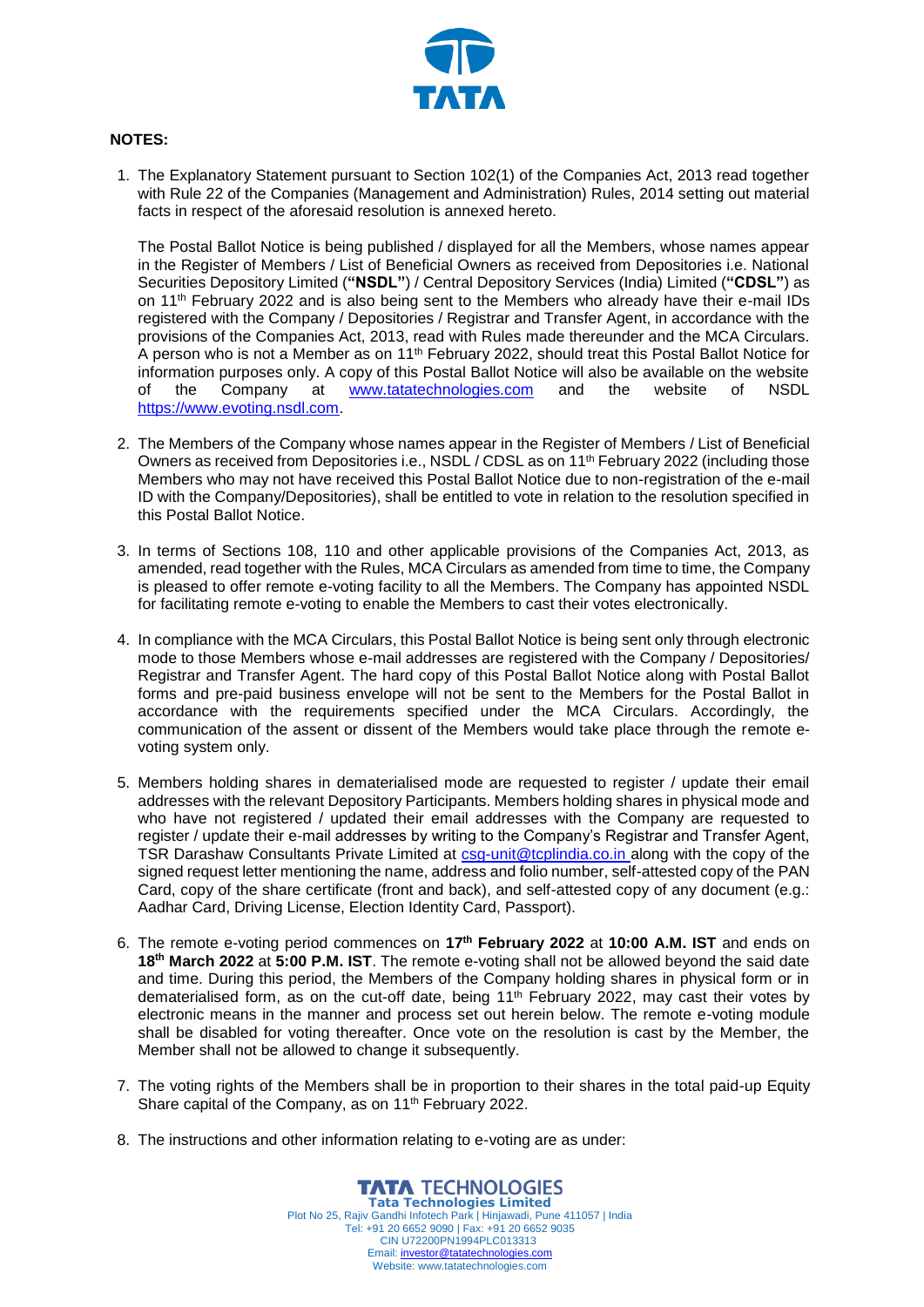

# **NOTES:**

1. The Explanatory Statement pursuant to Section 102(1) of the Companies Act, 2013 read together with Rule 22 of the Companies (Management and Administration) Rules, 2014 setting out material facts in respect of the aforesaid resolution is annexed hereto.

The Postal Ballot Notice is being published / displayed for all the Members, whose names appear in the Register of Members / List of Beneficial Owners as received from Depositories i.e. National Securities Depository Limited (**"NSDL"**) / Central Depository Services (India) Limited (**"CDSL"**) as on 11th February 2022 and is also being sent to the Members who already have their e-mail IDs registered with the Company / Depositories / Registrar and Transfer Agent, in accordance with the provisions of the Companies Act, 2013, read with Rules made thereunder and the MCA Circulars. A person who is not a Member as on 11<sup>th</sup> February 2022, should treat this Postal Ballot Notice for information purposes only. A copy of this Postal Ballot Notice will also be available on the website of the Company at [www.tatatechnologies.com](http://www.tatatechnologies.com/) and the website of NSDL [https://www.evoting.nsdl.com.](https://www.evoting.nsdl.com/)

- 2. The Members of the Company whose names appear in the Register of Members / List of Beneficial Owners as received from Depositories i.e., NSDL / CDSL as on 11<sup>th</sup> February 2022 (including those Members who may not have received this Postal Ballot Notice due to non-registration of the e-mail ID with the Company/Depositories), shall be entitled to vote in relation to the resolution specified in this Postal Ballot Notice.
- 3. In terms of Sections 108, 110 and other applicable provisions of the Companies Act, 2013, as amended, read together with the Rules, MCA Circulars as amended from time to time, the Company is pleased to offer remote e-voting facility to all the Members. The Company has appointed NSDL for facilitating remote e-voting to enable the Members to cast their votes electronically.
- 4. In compliance with the MCA Circulars, this Postal Ballot Notice is being sent only through electronic mode to those Members whose e-mail addresses are registered with the Company / Depositories/ Registrar and Transfer Agent. The hard copy of this Postal Ballot Notice along with Postal Ballot forms and pre-paid business envelope will not be sent to the Members for the Postal Ballot in accordance with the requirements specified under the MCA Circulars. Accordingly, the communication of the assent or dissent of the Members would take place through the remote evoting system only.
- 5. Members holding shares in dematerialised mode are requested to register / update their email addresses with the relevant Depository Participants. Members holding shares in physical mode and who have not registered / updated their email addresses with the Company are requested to register / update their e-mail addresses by writing to the Company's Registrar and Transfer Agent, TSR Darashaw Consultants Private Limited at [csg-unit@tcplindia.co.in](mailto:csg-unit@tcplindia.co.in) along with the copy of the signed request letter mentioning the name, address and folio number, self-attested copy of the PAN Card, copy of the share certificate (front and back), and self-attested copy of any document (e.g.: Aadhar Card, Driving License, Election Identity Card, Passport).
- 6. The remote e-voting period commences on **17th February 2022** at **10:00 A.M. IST** and ends on **18th March 2022** at **5:00 P.M. IST**. The remote e-voting shall not be allowed beyond the said date and time. During this period, the Members of the Company holding shares in physical form or in dematerialised form, as on the cut-off date, being  $11<sup>th</sup>$  February 2022, may cast their votes by electronic means in the manner and process set out herein below. The remote e-voting module shall be disabled for voting thereafter. Once vote on the resolution is cast by the Member, the Member shall not be allowed to change it subsequently.
- 7. The voting rights of the Members shall be in proportion to their shares in the total paid-up Equity Share capital of the Company, as on 11<sup>th</sup> February 2022.
- 8. The instructions and other information relating to e-voting are as under: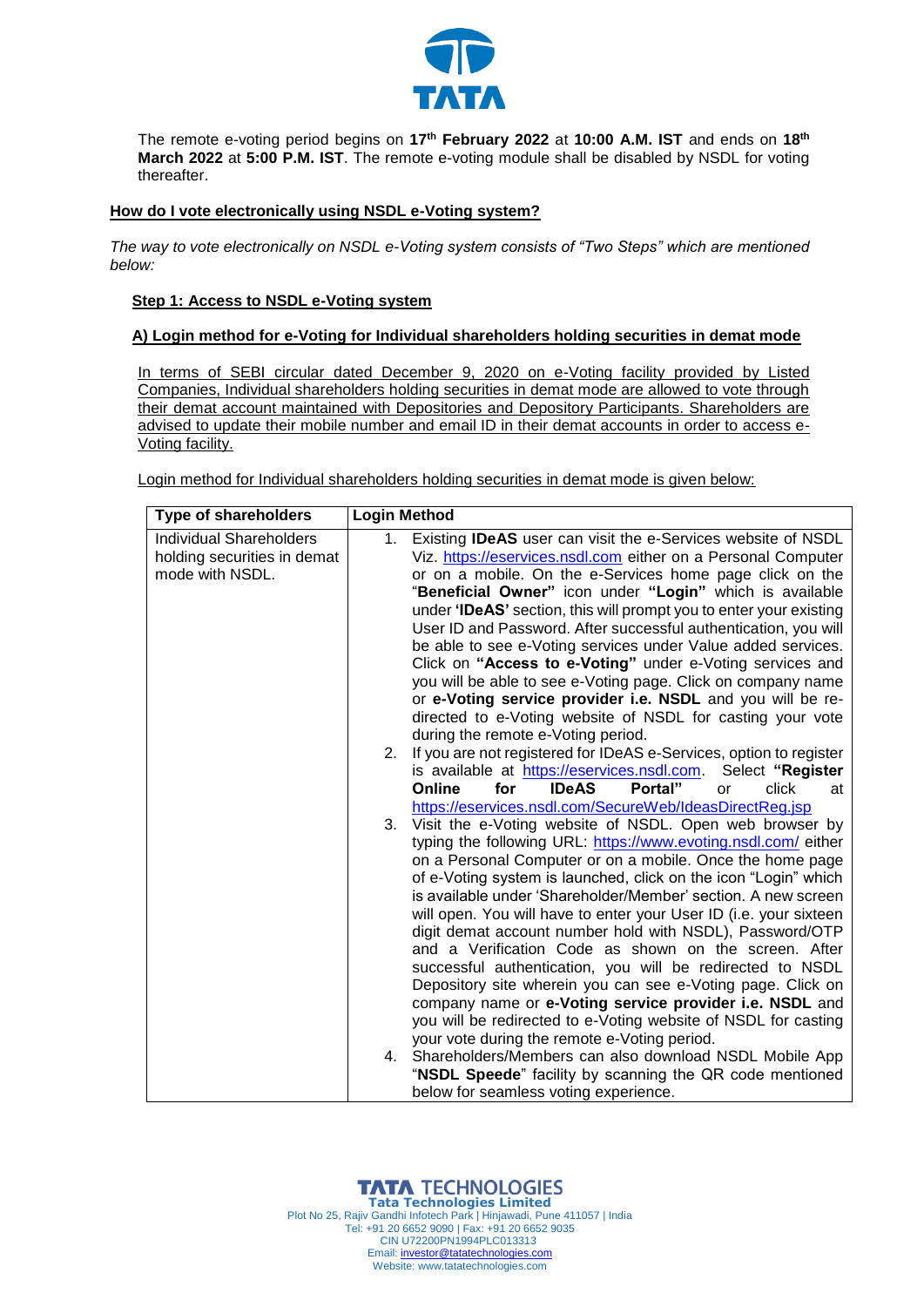

The remote e-voting period begins on **17th February 2022** at **10:00 A.M. IST** and ends on **18th March 2022** at **5:00 P.M. IST**. The remote e-voting module shall be disabled by NSDL for voting thereafter.

### **How do I vote electronically using NSDL e-Voting system?**

*The way to vote electronically on NSDL e-Voting system consists of "Two Steps" which are mentioned below:*

### **Step 1: Access to NSDL e-Voting system**

### **A) Login method for e-Voting for Individual shareholders holding securities in demat mode**

In terms of SEBI circular dated December 9, 2020 on e-Voting facility provided by Listed Companies, Individual shareholders holding securities in demat mode are allowed to vote through their demat account maintained with Depositories and Depository Participants. Shareholders are advised to update their mobile number and email ID in their demat accounts in order to access e-Voting facility.

Login method for Individual shareholders holding securities in demat mode is given below:

| <b>Type of shareholders</b>    | <b>Login Method</b> |                                                                                                                           |
|--------------------------------|---------------------|---------------------------------------------------------------------------------------------------------------------------|
| <b>Individual Shareholders</b> | 1.                  | Existing <b>IDeAS</b> user can visit the e-Services website of NSDL                                                       |
| holding securities in demat    |                     | Viz. https://eservices.nsdl.com either on a Personal Computer                                                             |
| mode with NSDL.                |                     | or on a mobile. On the e-Services home page click on the                                                                  |
|                                |                     | "Beneficial Owner" icon under "Login" which is available                                                                  |
|                                |                     | under 'IDeAS' section, this will prompt you to enter your existing                                                        |
|                                |                     | User ID and Password. After successful authentication, you will                                                           |
|                                |                     | be able to see e-Voting services under Value added services.                                                              |
|                                |                     | Click on "Access to e-Voting" under e-Voting services and                                                                 |
|                                |                     | you will be able to see e-Voting page. Click on company name                                                              |
|                                |                     | or e-Voting service provider i.e. NSDL and you will be re-<br>directed to e-Voting website of NSDL for casting your vote  |
|                                |                     | during the remote e-Voting period.                                                                                        |
|                                | 2.                  | If you are not registered for IDeAS e-Services, option to register                                                        |
|                                |                     | is available at https://eservices.nsdl.com.<br>Select "Register                                                           |
|                                |                     | <b>IDeAS</b><br>Portal"<br>Online<br>for<br>click<br>or<br>at                                                             |
|                                |                     | https://eservices.nsdl.com/SecureWeb/IdeasDirectReg.jsp                                                                   |
|                                | 3.                  | Visit the e-Voting website of NSDL. Open web browser by                                                                   |
|                                |                     | typing the following URL: https://www.evoting.nsdl.com/ either                                                            |
|                                |                     | on a Personal Computer or on a mobile. Once the home page                                                                 |
|                                |                     | of e-Voting system is launched, click on the icon "Login" which                                                           |
|                                |                     | is available under 'Shareholder/Member' section. A new screen                                                             |
|                                |                     | will open. You will have to enter your User ID (i.e. your sixteen                                                         |
|                                |                     | digit demat account number hold with NSDL), Password/OTP                                                                  |
|                                |                     | and a Verification Code as shown on the screen. After                                                                     |
|                                |                     | successful authentication, you will be redirected to NSDL                                                                 |
|                                |                     | Depository site wherein you can see e-Voting page. Click on                                                               |
|                                |                     | company name or e-Voting service provider i.e. NSDL and<br>you will be redirected to e-Voting website of NSDL for casting |
|                                |                     | your vote during the remote e-Voting period.                                                                              |
|                                | 4.                  | Shareholders/Members can also download NSDL Mobile App                                                                    |
|                                |                     | "NSDL Speede" facility by scanning the QR code mentioned                                                                  |
|                                |                     | below for seamless voting experience.                                                                                     |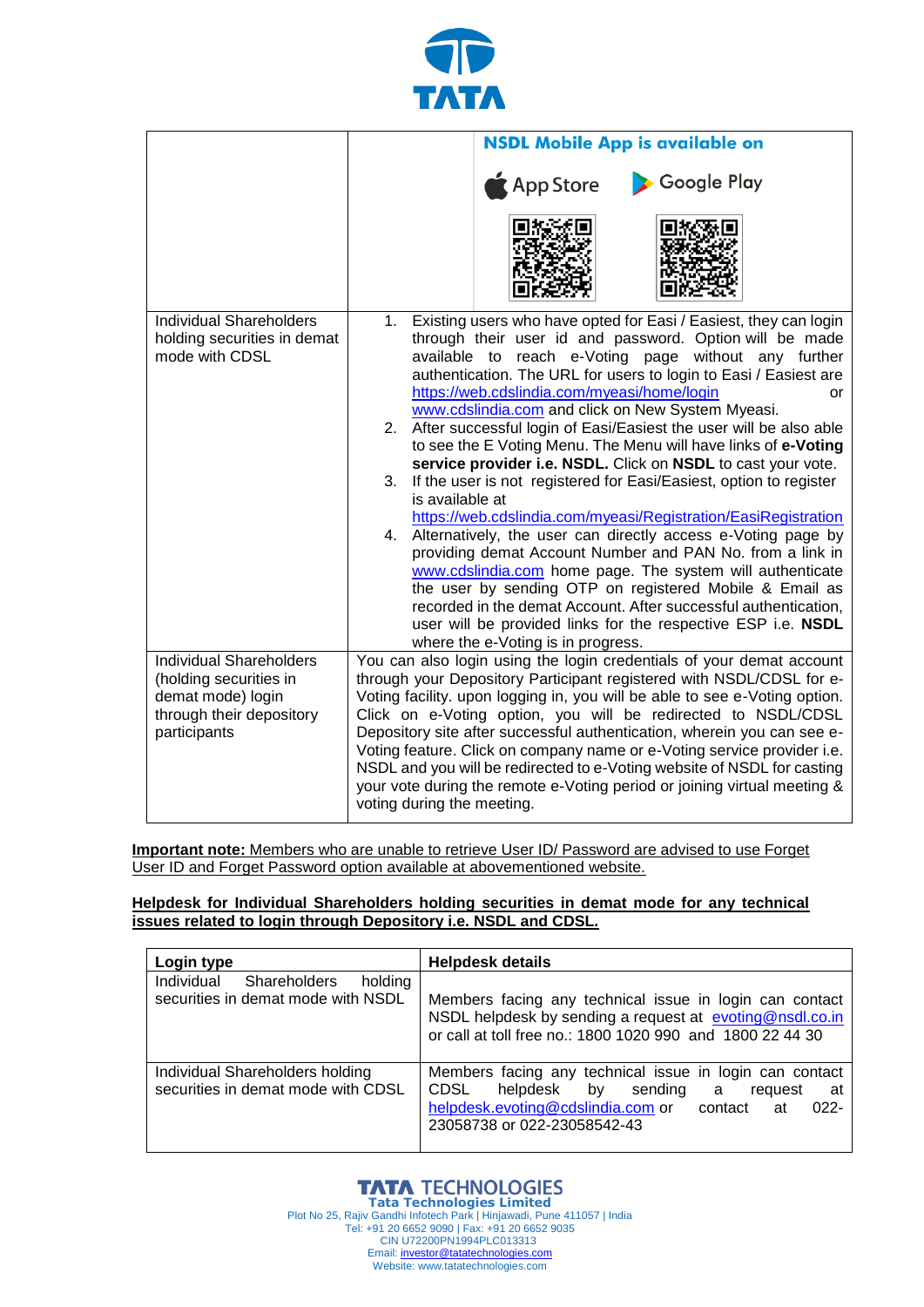

|                                                                                                                           | <b>NSDL Mobile App is available on</b>                                                                                                                                                                                                                                                                                                                                                                                                                                                                                                                                                                                                                                                                                                                                                                                                                                                                                                                                                                                                                                                                                                                                           |  |
|---------------------------------------------------------------------------------------------------------------------------|----------------------------------------------------------------------------------------------------------------------------------------------------------------------------------------------------------------------------------------------------------------------------------------------------------------------------------------------------------------------------------------------------------------------------------------------------------------------------------------------------------------------------------------------------------------------------------------------------------------------------------------------------------------------------------------------------------------------------------------------------------------------------------------------------------------------------------------------------------------------------------------------------------------------------------------------------------------------------------------------------------------------------------------------------------------------------------------------------------------------------------------------------------------------------------|--|
|                                                                                                                           | App Store<br>Google Play                                                                                                                                                                                                                                                                                                                                                                                                                                                                                                                                                                                                                                                                                                                                                                                                                                                                                                                                                                                                                                                                                                                                                         |  |
| <b>Individual Shareholders</b><br>holding securities in demat<br>mode with CDSL                                           | 1. Existing users who have opted for Easi / Easiest, they can login<br>through their user id and password. Option will be made<br>available to reach e-Voting page without any further<br>authentication. The URL for users to login to Easi / Easiest are<br>https://web.cdslindia.com/myeasi/home/login<br>or<br>www.cdslindia.com and click on New System Myeasi.<br>2. After successful login of Easi/Easiest the user will be also able<br>to see the E Voting Menu. The Menu will have links of e-Voting<br>service provider i.e. NSDL. Click on NSDL to cast your vote.<br>If the user is not registered for Easi/Easiest, option to register<br>3.<br>is available at<br>https://web.cdslindia.com/myeasi/Registration/EasiRegistration<br>4. Alternatively, the user can directly access e-Voting page by<br>providing demat Account Number and PAN No. from a link in<br>www.cdslindia.com home page. The system will authenticate<br>the user by sending OTP on registered Mobile & Email as<br>recorded in the demat Account. After successful authentication,<br>user will be provided links for the respective ESP i.e. NSDL<br>where the e-Voting is in progress. |  |
| <b>Individual Shareholders</b><br>(holding securities in<br>demat mode) login<br>through their depository<br>participants | You can also login using the login credentials of your demat account<br>through your Depository Participant registered with NSDL/CDSL for e-<br>Voting facility. upon logging in, you will be able to see e-Voting option.<br>Click on e-Voting option, you will be redirected to NSDL/CDSL<br>Depository site after successful authentication, wherein you can see e-<br>Voting feature. Click on company name or e-Voting service provider i.e.<br>NSDL and you will be redirected to e-Voting website of NSDL for casting<br>your vote during the remote e-Voting period or joining virtual meeting &<br>voting during the meeting.                                                                                                                                                                                                                                                                                                                                                                                                                                                                                                                                           |  |

**Important note:** Members who are unable to retrieve User ID/ Password are advised to use Forget User ID and Forget Password option available at abovementioned website.

**Helpdesk for Individual Shareholders holding securities in demat mode for any technical issues related to login through Depository i.e. NSDL and CDSL.**

| Login type                                                                         | <b>Helpdesk details</b>                                                                                                                                                                                    |  |
|------------------------------------------------------------------------------------|------------------------------------------------------------------------------------------------------------------------------------------------------------------------------------------------------------|--|
| Individual<br><b>Shareholders</b><br>holding<br>securities in demat mode with NSDL | Members facing any technical issue in login can contact<br>NSDL helpdesk by sending a request at evoting@nsdl.co.in<br>or call at toll free no.: 1800 1020 990 and 1800 22 44 30                           |  |
| Individual Shareholders holding<br>securities in demat mode with CDSL              | Members facing any technical issue in login can contact<br>CDSL<br>helpdesk by sending<br>request<br>a<br>_at<br>helpdesk.evoting@cdslindia.com or contact<br>$022 -$<br>at<br>23058738 or 022-23058542-43 |  |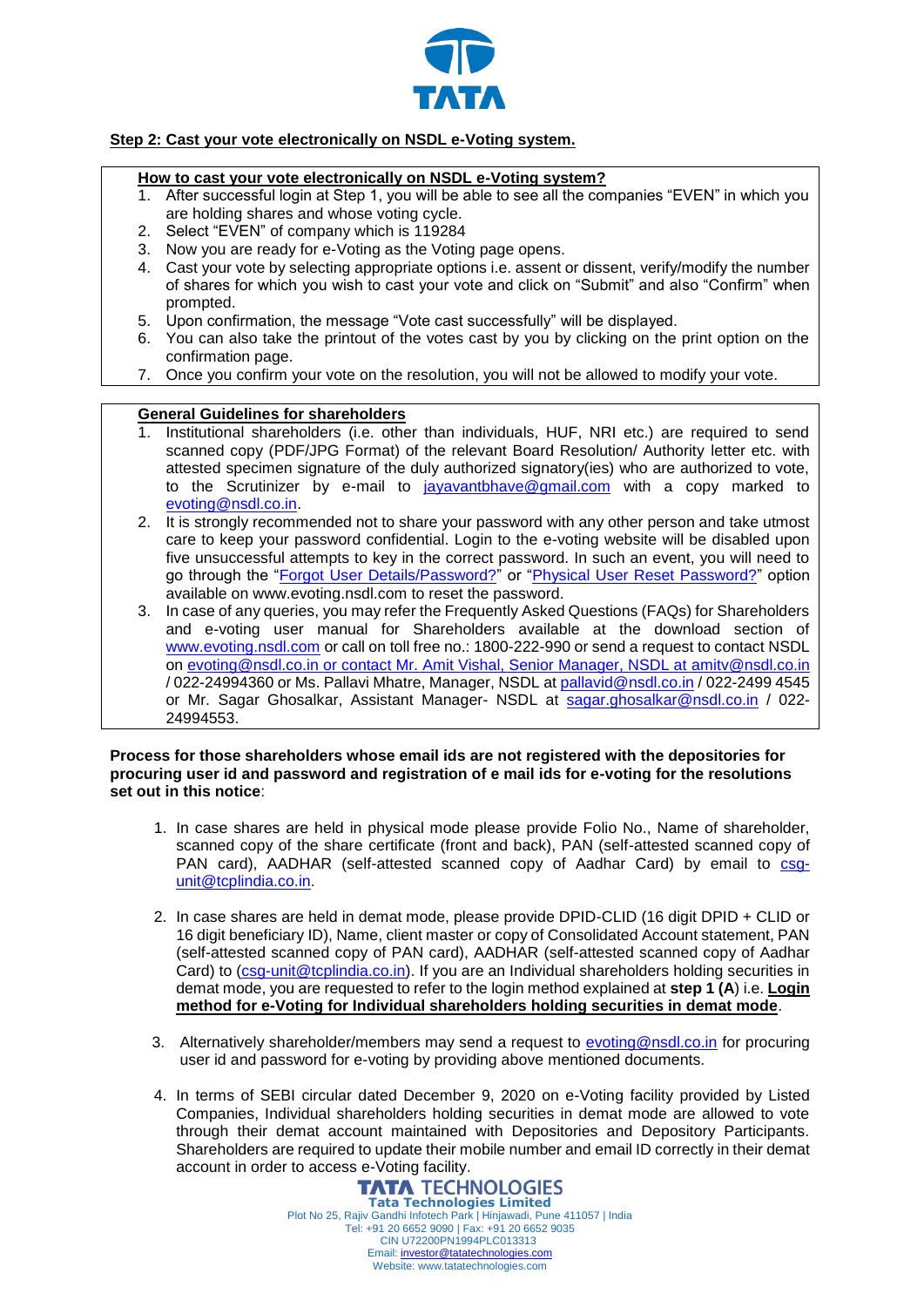

# **Step 2: Cast your vote electronically on NSDL e-Voting system.**

## **How to cast your vote electronically on NSDL e-Voting system?**

- 1. After successful login at Step 1, you will be able to see all the companies "EVEN" in which you are holding shares and whose voting cycle.
- 2. Select "EVEN" of company which is 119284
- 3. Now you are ready for e-Voting as the Voting page opens.
- 4. Cast your vote by selecting appropriate options i.e. assent or dissent, verify/modify the number of shares for which you wish to cast your vote and click on "Submit" and also "Confirm" when prompted.
- 5. Upon confirmation, the message "Vote cast successfully" will be displayed.
- 6. You can also take the printout of the votes cast by you by clicking on the print option on the confirmation page.
- 7. Once you confirm your vote on the resolution, you will not be allowed to modify your vote.

### **General Guidelines for shareholders**

- 1. Institutional shareholders (i.e. other than individuals, HUF, NRI etc.) are required to send scanned copy (PDF/JPG Format) of the relevant Board Resolution/ Authority letter etc. with attested specimen signature of the duly authorized signatory(ies) who are authorized to vote, to the Scrutinizer by e-mail to jayavant have  $@$  amail.com with a copy marked to [evoting@nsdl.co.in.](mailto:evoting@nsdl.co.in)
- 2. It is strongly recommended not to share your password with any other person and take utmost care to keep your password confidential. Login to the e-voting website will be disabled upon five unsuccessful attempts to key in the correct password. In such an event, you will need to go through the ["Forgot User Details/Password?"](https://www.evoting.nsdl.com/eVotingWeb/commonhtmls/NewUser.jsp) or ["Physical User Reset Password?"](https://www.evoting.nsdl.com/eVotingWeb/commonhtmls/PhysicalUser.jsp) option available on www.evoting.nsdl.com to reset the password.
- 3. In case of any queries, you may refer the Frequently Asked Questions (FAQs) for Shareholders and e-voting user manual for Shareholders available at the download section of [www.evoting.nsdl.com](http://www.evoting.nsdl.com/) or call on toll free no.: 1800-222-990 or send a request to contact NSDL on [evoting@nsdl.co.in](mailto:evoting@nsdl.co.in) or contact Mr. Amit Vishal, Senior Manager, NSDL at [amitv@nsdl.co.in](mailto:amitv@nsdl.co.in) / 022-24994360 or Ms. Pallavi Mhatre, Manager, NSDL at [pallavid@nsdl.co.in](mailto:pallavid@nsdl.co.in) / 022-2499 4545 or Mr. Sagar Ghosalkar, Assistant Manager- NSDL at [sagar.ghosalkar@nsdl.co.in](mailto:sagar.ghosalkar@nsdl.co.in) / 022- 24994553.

### **Process for those shareholders whose email ids are not registered with the depositories for procuring user id and password and registration of e mail ids for e-voting for the resolutions set out in this notice**:

- 1. In case shares are held in physical mode please provide Folio No., Name of shareholder, scanned copy of the share certificate (front and back), PAN (self-attested scanned copy of PAN card), AADHAR (self-attested scanned copy of Aadhar Card) by email to [csg](mailto:csg-unit@tcplindia.co.in)[unit@tcplindia.co.in.](mailto:csg-unit@tcplindia.co.in)
- 2. In case shares are held in demat mode, please provide DPID-CLID (16 digit DPID + CLID or 16 digit beneficiary ID), Name, client master or copy of Consolidated Account statement, PAN (self-attested scanned copy of PAN card), AADHAR (self-attested scanned copy of Aadhar Card) to [\(csg-unit@tcplindia.co.in\)](mailto:csg-unit@tcplindia.co.in). If you are an Individual shareholders holding securities in demat mode, you are requested to refer to the login method explained at **step 1 (A**) i.e. **Login method for e-Voting for Individual shareholders holding securities in demat mode**.
- 3. Alternatively shareholder/members may send a request to [evoting@nsdl.co.in](mailto:evoting@nsdl.co.in) for procuring user id and password for e-voting by providing above mentioned documents.
- 4. In terms of SEBI circular dated December 9, 2020 on e-Voting facility provided by Listed Companies, Individual shareholders holding securities in demat mode are allowed to vote through their demat account maintained with Depositories and Depository Participants. Shareholders are required to update their mobile number and email ID correctly in their demat account in order to access e-Voting facility.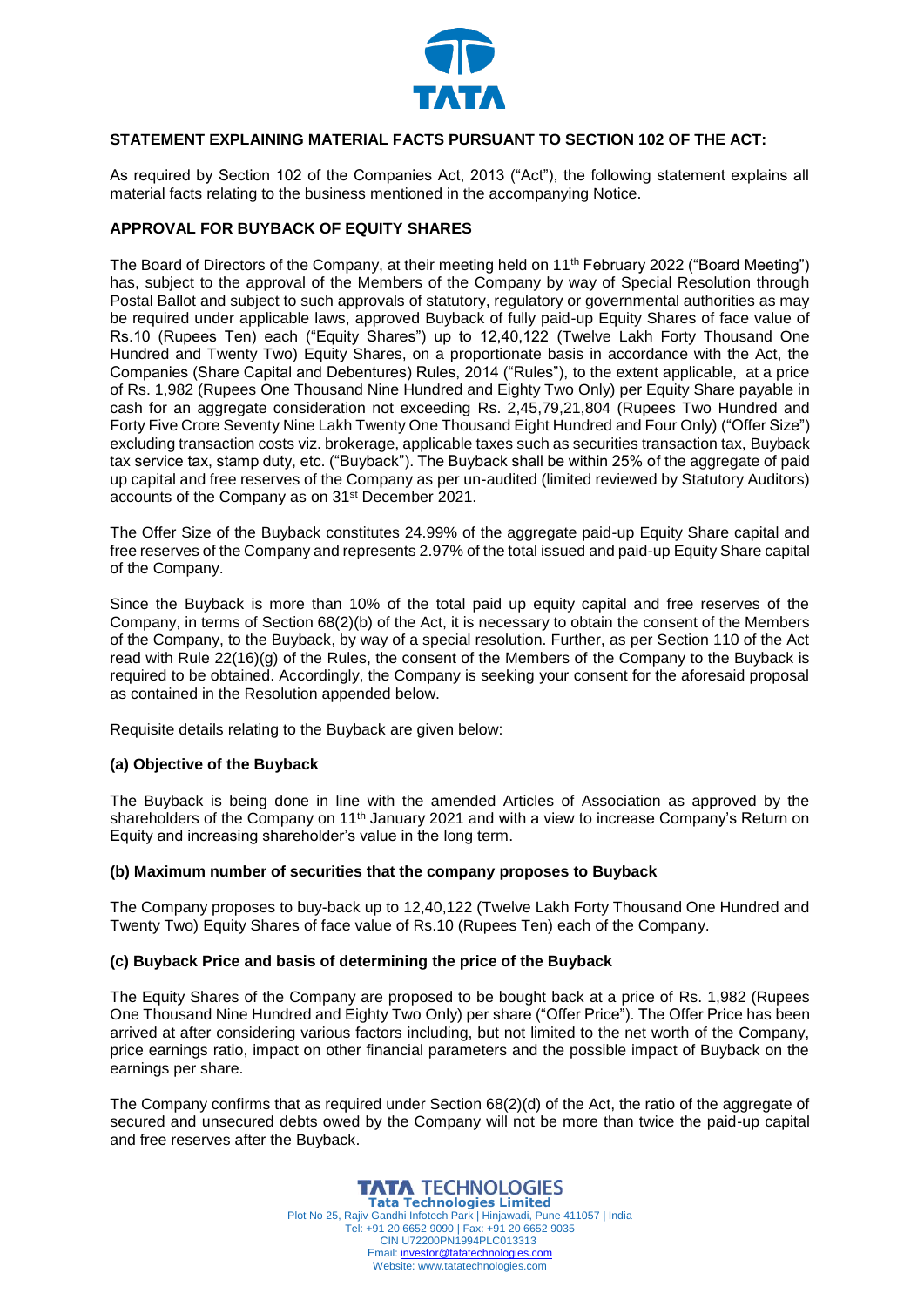

## **STATEMENT EXPLAINING MATERIAL FACTS PURSUANT TO SECTION 102 OF THE ACT:**

As required by Section 102 of the Companies Act, 2013 ("Act"), the following statement explains all material facts relating to the business mentioned in the accompanying Notice.

### **APPROVAL FOR BUYBACK OF EQUITY SHARES**

The Board of Directors of the Company, at their meeting held on 11th February 2022 ("Board Meeting") has, subject to the approval of the Members of the Company by way of Special Resolution through Postal Ballot and subject to such approvals of statutory, regulatory or governmental authorities as may be required under applicable laws, approved Buyback of fully paid-up Equity Shares of face value of Rs.10 (Rupees Ten) each ("Equity Shares") up to 12,40,122 (Twelve Lakh Forty Thousand One Hundred and Twenty Two) Equity Shares, on a proportionate basis in accordance with the Act, the Companies (Share Capital and Debentures) Rules, 2014 ("Rules"), to the extent applicable, at a price of Rs. 1,982 (Rupees One Thousand Nine Hundred and Eighty Two Only) per Equity Share payable in cash for an aggregate consideration not exceeding Rs. 2,45,79,21,804 (Rupees Two Hundred and Forty Five Crore Seventy Nine Lakh Twenty One Thousand Eight Hundred and Four Only) ("Offer Size") excluding transaction costs viz. brokerage, applicable taxes such as securities transaction tax, Buyback tax service tax, stamp duty, etc. ("Buyback"). The Buyback shall be within 25% of the aggregate of paid up capital and free reserves of the Company as per un-audited (limited reviewed by Statutory Auditors) accounts of the Company as on 31st December 2021.

The Offer Size of the Buyback constitutes 24.99% of the aggregate paid-up Equity Share capital and free reserves of the Company and represents 2.97% of the total issued and paid-up Equity Share capital of the Company.

Since the Buyback is more than 10% of the total paid up equity capital and free reserves of the Company, in terms of Section 68(2)(b) of the Act, it is necessary to obtain the consent of the Members of the Company, to the Buyback, by way of a special resolution. Further, as per Section 110 of the Act read with Rule 22(16)(g) of the Rules, the consent of the Members of the Company to the Buyback is required to be obtained. Accordingly, the Company is seeking your consent for the aforesaid proposal as contained in the Resolution appended below.

Requisite details relating to the Buyback are given below:

### **(a) Objective of the Buyback**

The Buyback is being done in line with the amended Articles of Association as approved by the shareholders of the Company on 11<sup>th</sup> January 2021 and with a view to increase Company's Return on Equity and increasing shareholder's value in the long term.

#### **(b) Maximum number of securities that the company proposes to Buyback**

The Company proposes to buy-back up to 12,40,122 (Twelve Lakh Forty Thousand One Hundred and Twenty Two) Equity Shares of face value of Rs.10 (Rupees Ten) each of the Company.

### **(c) Buyback Price and basis of determining the price of the Buyback**

The Equity Shares of the Company are proposed to be bought back at a price of Rs. 1,982 (Rupees One Thousand Nine Hundred and Eighty Two Only) per share ("Offer Price"). The Offer Price has been arrived at after considering various factors including, but not limited to the net worth of the Company, price earnings ratio, impact on other financial parameters and the possible impact of Buyback on the earnings per share.

The Company confirms that as required under Section 68(2)(d) of the Act, the ratio of the aggregate of secured and unsecured debts owed by the Company will not be more than twice the paid-up capital and free reserves after the Buyback.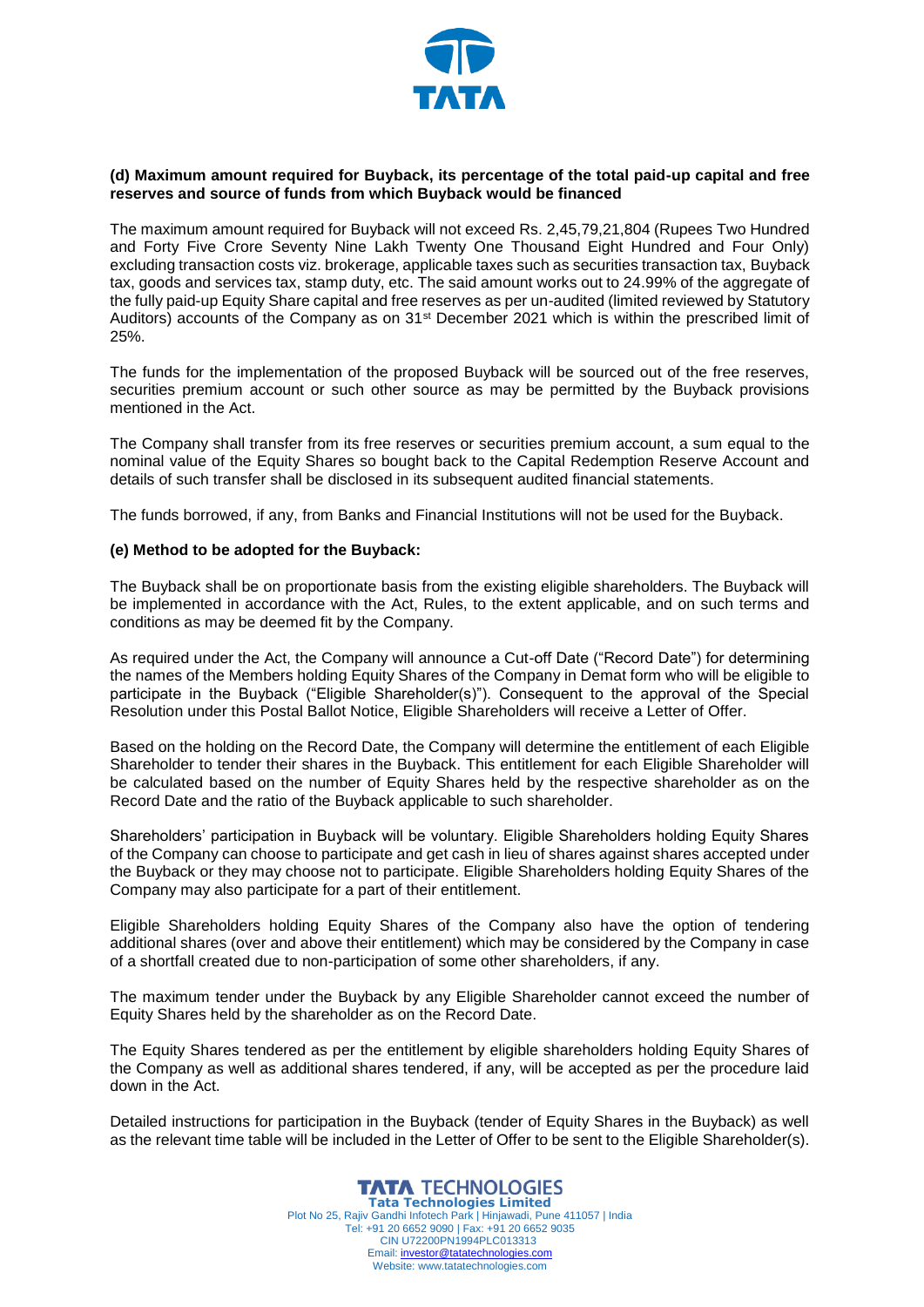

### **(d) Maximum amount required for Buyback, its percentage of the total paid-up capital and free reserves and source of funds from which Buyback would be financed**

The maximum amount required for Buyback will not exceed Rs. 2,45,79,21,804 (Rupees Two Hundred and Forty Five Crore Seventy Nine Lakh Twenty One Thousand Eight Hundred and Four Only) excluding transaction costs viz. brokerage, applicable taxes such as securities transaction tax, Buyback tax, goods and services tax, stamp duty, etc. The said amount works out to 24.99% of the aggregate of the fully paid-up Equity Share capital and free reserves as per un-audited (limited reviewed by Statutory Auditors) accounts of the Company as on 31st December 2021 which is within the prescribed limit of 25%.

The funds for the implementation of the proposed Buyback will be sourced out of the free reserves, securities premium account or such other source as may be permitted by the Buyback provisions mentioned in the Act.

The Company shall transfer from its free reserves or securities premium account, a sum equal to the nominal value of the Equity Shares so bought back to the Capital Redemption Reserve Account and details of such transfer shall be disclosed in its subsequent audited financial statements.

The funds borrowed, if any, from Banks and Financial Institutions will not be used for the Buyback.

### **(e) Method to be adopted for the Buyback:**

The Buyback shall be on proportionate basis from the existing eligible shareholders. The Buyback will be implemented in accordance with the Act, Rules, to the extent applicable, and on such terms and conditions as may be deemed fit by the Company.

As required under the Act, the Company will announce a Cut-off Date ("Record Date") for determining the names of the Members holding Equity Shares of the Company in Demat form who will be eligible to participate in the Buyback ("Eligible Shareholder(s)"). Consequent to the approval of the Special Resolution under this Postal Ballot Notice, Eligible Shareholders will receive a Letter of Offer.

Based on the holding on the Record Date, the Company will determine the entitlement of each Eligible Shareholder to tender their shares in the Buyback. This entitlement for each Eligible Shareholder will be calculated based on the number of Equity Shares held by the respective shareholder as on the Record Date and the ratio of the Buyback applicable to such shareholder.

Shareholders' participation in Buyback will be voluntary. Eligible Shareholders holding Equity Shares of the Company can choose to participate and get cash in lieu of shares against shares accepted under the Buyback or they may choose not to participate. Eligible Shareholders holding Equity Shares of the Company may also participate for a part of their entitlement.

Eligible Shareholders holding Equity Shares of the Company also have the option of tendering additional shares (over and above their entitlement) which may be considered by the Company in case of a shortfall created due to non-participation of some other shareholders, if any.

The maximum tender under the Buyback by any Eligible Shareholder cannot exceed the number of Equity Shares held by the shareholder as on the Record Date.

The Equity Shares tendered as per the entitlement by eligible shareholders holding Equity Shares of the Company as well as additional shares tendered, if any, will be accepted as per the procedure laid down in the Act.

Detailed instructions for participation in the Buyback (tender of Equity Shares in the Buyback) as well as the relevant time table will be included in the Letter of Offer to be sent to the Eligible Shareholder(s).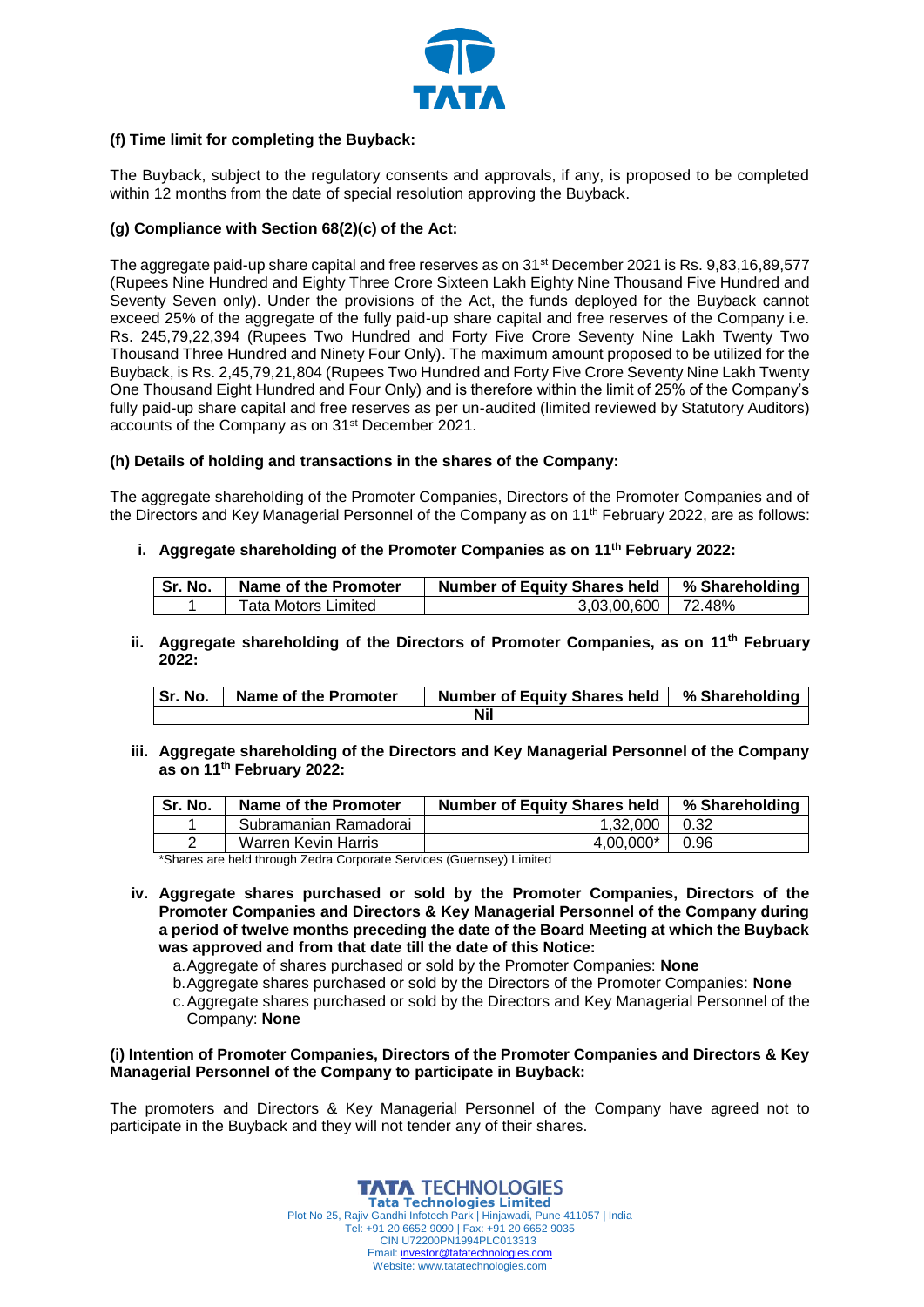

## **(f) Time limit for completing the Buyback:**

The Buyback, subject to the regulatory consents and approvals, if any, is proposed to be completed within 12 months from the date of special resolution approving the Buyback.

## **(g) Compliance with Section 68(2)(c) of the Act:**

The aggregate paid-up share capital and free reserves as on 31<sup>st</sup> December 2021 is Rs. 9,83,16,89,577 (Rupees Nine Hundred and Eighty Three Crore Sixteen Lakh Eighty Nine Thousand Five Hundred and Seventy Seven only). Under the provisions of the Act, the funds deployed for the Buyback cannot exceed 25% of the aggregate of the fully paid-up share capital and free reserves of the Company i.e. Rs. 245,79,22,394 (Rupees Two Hundred and Forty Five Crore Seventy Nine Lakh Twenty Two Thousand Three Hundred and Ninety Four Only). The maximum amount proposed to be utilized for the Buyback, is Rs. 2,45,79,21,804 (Rupees Two Hundred and Forty Five Crore Seventy Nine Lakh Twenty One Thousand Eight Hundred and Four Only) and is therefore within the limit of 25% of the Company's fully paid-up share capital and free reserves as per un-audited (limited reviewed by Statutory Auditors) accounts of the Company as on 31st December 2021.

### **(h) Details of holding and transactions in the shares of the Company:**

The aggregate shareholding of the Promoter Companies, Directors of the Promoter Companies and of the Directors and Key Managerial Personnel of the Company as on 11th February 2022, are as follows:

**i. Aggregate shareholding of the Promoter Companies as on 11th February 2022:**

| l Sr. No. | Name of the Promoter | Number of Equity Shares held   % Shareholding |  |
|-----------|----------------------|-----------------------------------------------|--|
|           | Tata Motors Limited  | 3,03,00,600   72.48%                          |  |

**ii. Aggregate shareholding of the Directors of Promoter Companies, as on 11th February 2022:**

| Sr. No. | Name of the Promoter | Number of Equity Shares held   % Shareholding |  |
|---------|----------------------|-----------------------------------------------|--|
| Nil     |                      |                                               |  |

**iii. Aggregate shareholding of the Directors and Key Managerial Personnel of the Company as on 11th February 2022:**

| Sr. No. | Name of the Promoter  | <b>Number of Equity Shares held</b> | % Shareholding |
|---------|-----------------------|-------------------------------------|----------------|
|         | Subramanian Ramadorai | 1.32.000                            | 0.32           |
|         | Warren Kevin Harris   | 4.00.000*                           | 0.96           |

\*Shares are held through Zedra Corporate Services (Guernsey) Limited

- **iv. Aggregate shares purchased or sold by the Promoter Companies, Directors of the Promoter Companies and Directors & Key Managerial Personnel of the Company during a period of twelve months preceding the date of the Board Meeting at which the Buyback was approved and from that date till the date of this Notice:**
	- a.Aggregate of shares purchased or sold by the Promoter Companies: **None**
	- b.Aggregate shares purchased or sold by the Directors of the Promoter Companies: **None**
	- c.Aggregate shares purchased or sold by the Directors and Key Managerial Personnel of the Company: **None**

### **(i) Intention of Promoter Companies, Directors of the Promoter Companies and Directors & Key Managerial Personnel of the Company to participate in Buyback:**

The promoters and Directors & Key Managerial Personnel of the Company have agreed not to participate in the Buyback and they will not tender any of their shares.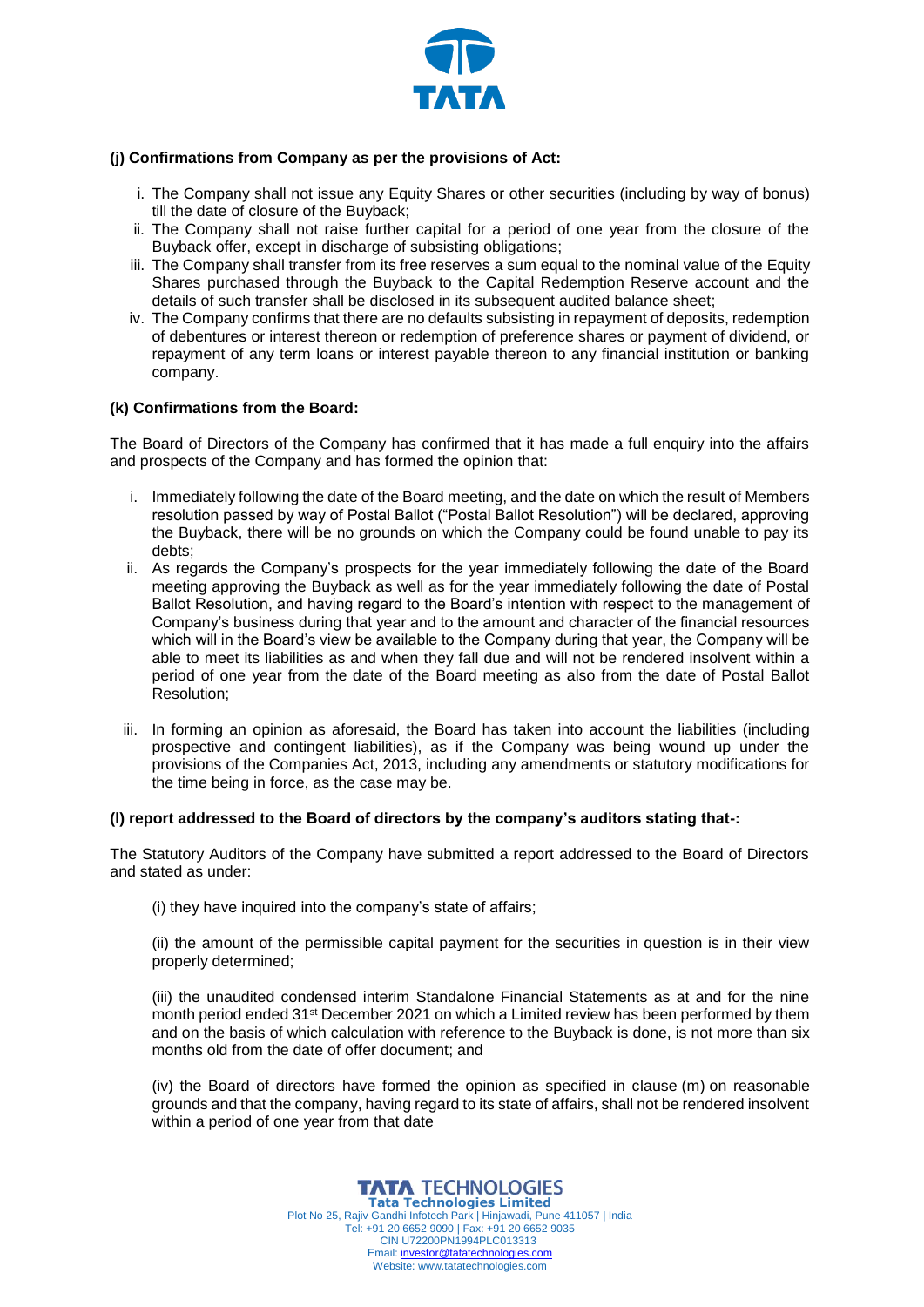

## **(j) Confirmations from Company as per the provisions of Act:**

- i. The Company shall not issue any Equity Shares or other securities (including by way of bonus) till the date of closure of the Buyback;
- ii. The Company shall not raise further capital for a period of one year from the closure of the Buyback offer, except in discharge of subsisting obligations;
- iii. The Company shall transfer from its free reserves a sum equal to the nominal value of the Equity Shares purchased through the Buyback to the Capital Redemption Reserve account and the details of such transfer shall be disclosed in its subsequent audited balance sheet;
- iv. The Company confirms that there are no defaults subsisting in repayment of deposits, redemption of debentures or interest thereon or redemption of preference shares or payment of dividend, or repayment of any term loans or interest payable thereon to any financial institution or banking company.

### **(k) Confirmations from the Board:**

The Board of Directors of the Company has confirmed that it has made a full enquiry into the affairs and prospects of the Company and has formed the opinion that:

- i. Immediately following the date of the Board meeting, and the date on which the result of Members resolution passed by way of Postal Ballot ("Postal Ballot Resolution") will be declared, approving the Buyback, there will be no grounds on which the Company could be found unable to pay its debts;
- ii. As regards the Company's prospects for the year immediately following the date of the Board meeting approving the Buyback as well as for the year immediately following the date of Postal Ballot Resolution, and having regard to the Board's intention with respect to the management of Company's business during that year and to the amount and character of the financial resources which will in the Board's view be available to the Company during that year, the Company will be able to meet its liabilities as and when they fall due and will not be rendered insolvent within a period of one year from the date of the Board meeting as also from the date of Postal Ballot Resolution;
- iii. In forming an opinion as aforesaid, the Board has taken into account the liabilities (including prospective and contingent liabilities), as if the Company was being wound up under the provisions of the Companies Act, 2013, including any amendments or statutory modifications for the time being in force, as the case may be.

#### **(l) report addressed to the Board of directors by the company's auditors stating that-:**

The Statutory Auditors of the Company have submitted a report addressed to the Board of Directors and stated as under:

(i) they have inquired into the company's state of affairs;

(ii) the amount of the permissible capital payment for the securities in question is in their view properly determined;

(iii) the unaudited condensed interim Standalone Financial Statements as at and for the nine month period ended 31st December 2021 on which a Limited review has been performed by them and on the basis of which calculation with reference to the Buyback is done, is not more than six months old from the date of offer document; and

(iv) the Board of directors have formed the opinion as specified in clause (m) on reasonable grounds and that the company, having regard to its state of affairs, shall not be rendered insolvent within a period of one year from that date